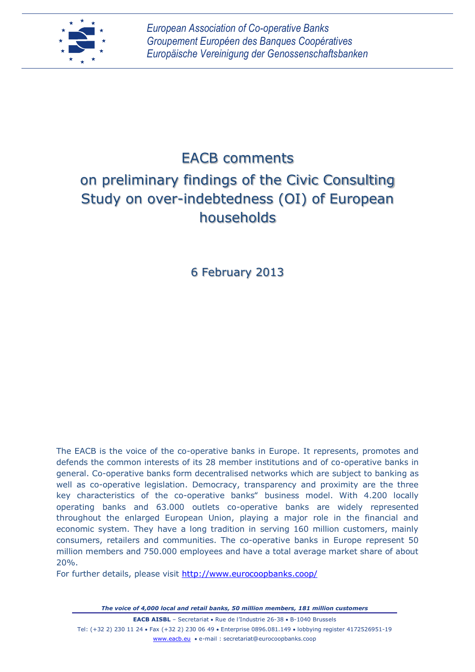

# EACB comments on preliminary findings of the Civic Consulting Study on over-indebtedness (OI) of European households

6 February 2013

The EACB is the voice of the co-operative banks in Europe. It represents, promotes and defends the common interests of its 28 member institutions and of co-operative banks in general. Co-operative banks form decentralised networks which are subject to banking as well as co-operative legislation. Democracy, transparency and proximity are the three key characteristics of the co-operative banks" business model. With 4.200 locally operating banks and 63.000 outlets co-operative banks are widely represented throughout the enlarged European Union, playing a major role in the financial and economic system. They have a long tradition in serving 160 million customers, mainly consumers, retailers and communities. The co-operative banks in Europe represent 50 million members and 750.000 employees and have a total average market share of about 20%.

For further details, please visit<http://www.eurocoopbanks.coop/>

*The voice of 4,000 local and retail banks, 50 million members, 181 million customers* **EACB AISBL** – Secretariat • Rue de l'Industrie 26-38 • B-1040 Brussels Tel: (+32 2) 230 11 24 Fax (+32 2) 230 06 49 Enterprise 0896.081.149 lobbying register 4172526951-19 www.eacb.eu e-mail : secretariat@eurocoopbanks.coop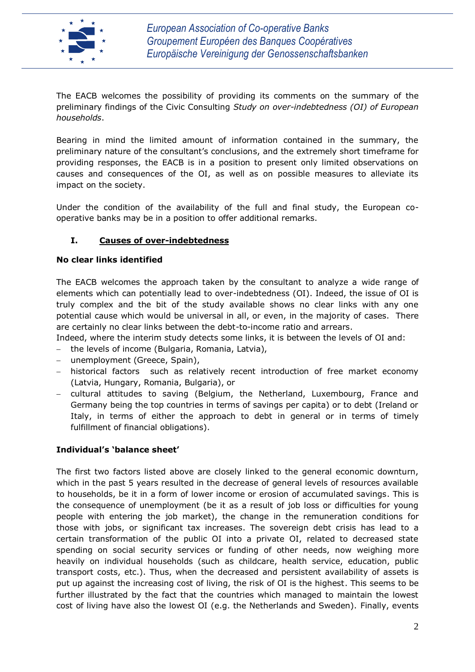

The EACB welcomes the possibility of providing its comments on the summary of the preliminary findings of the Civic Consulting *Study on over-indebtedness (OI) of European households*.

Bearing in mind the limited amount of information contained in the summary, the preliminary nature of the consultant's conclusions, and the extremely short timeframe for providing responses, the EACB is in a position to present only limited observations on causes and consequences of the OI, as well as on possible measures to alleviate its impact on the society.

Under the condition of the availability of the full and final study, the European cooperative banks may be in a position to offer additional remarks.

## **I. Causes of over-indebtedness**

#### **No clear links identified**

The EACB welcomes the approach taken by the consultant to analyze a wide range of elements which can potentially lead to over-indebtedness (OI). Indeed, the issue of OI is truly complex and the bit of the study available shows no clear links with any one potential cause which would be universal in all, or even, in the majority of cases. There are certainly no clear links between the debt-to-income ratio and arrears.

Indeed, where the interim study detects some links, it is between the levels of OI and:

- the levels of income (Bulgaria, Romania, Latvia),
- unemployment (Greece, Spain),
- historical factors such as relatively recent introduction of free market economy (Latvia, Hungary, Romania, Bulgaria), or
- cultural attitudes to saving (Belgium, the Netherland, Luxembourg, France and Germany being the top countries in terms of savings per capita) or to debt (Ireland or Italy, in terms of either the approach to debt in general or in terms of timely fulfillment of financial obligations).

#### **Individual's 'balance sheet'**

The first two factors listed above are closely linked to the general economic downturn, which in the past 5 years resulted in the decrease of general levels of resources available to households, be it in a form of lower income or erosion of accumulated savings. This is the consequence of unemployment (be it as a result of job loss or difficulties for young people with entering the job market), the change in the remuneration conditions for those with jobs, or significant tax increases. The sovereign debt crisis has lead to a certain transformation of the public OI into a private OI, related to decreased state spending on social security services or funding of other needs, now weighing more heavily on individual households (such as childcare, health service, education, public transport costs, etc.). Thus, when the decreased and persistent availability of assets is put up against the increasing cost of living, the risk of OI is the highest. This seems to be further illustrated by the fact that the countries which managed to maintain the lowest cost of living have also the lowest OI (e.g. the Netherlands and Sweden). Finally, events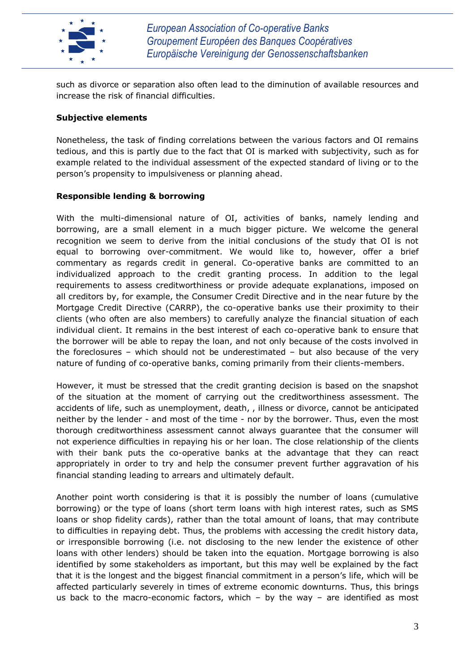

such as divorce or separation also often lead to the diminution of available resources and increase the risk of financial difficulties.

#### **Subjective elements**

Nonetheless, the task of finding correlations between the various factors and OI remains tedious, and this is partly due to the fact that OI is marked with subjectivity, such as for example related to the individual assessment of the expected standard of living or to the person's propensity to impulsiveness or planning ahead.

## **Responsible lending & borrowing**

With the multi-dimensional nature of OI, activities of banks, namely lending and borrowing, are a small element in a much bigger picture. We welcome the general recognition we seem to derive from the initial conclusions of the study that OI is not equal to borrowing over-commitment. We would like to, however, offer a brief commentary as regards credit in general. Co-operative banks are committed to an individualized approach to the credit granting process. In addition to the legal requirements to assess creditworthiness or provide adequate explanations, imposed on all creditors by, for example, the Consumer Credit Directive and in the near future by the Mortgage Credit Directive (CARRP), the co-operative banks use their proximity to their clients (who often are also members) to carefully analyze the financial situation of each individual client. It remains in the best interest of each co-operative bank to ensure that the borrower will be able to repay the loan, and not only because of the costs involved in the foreclosures – which should not be underestimated – but also because of the very nature of funding of co-operative banks, coming primarily from their clients-members.

However, it must be stressed that the credit granting decision is based on the snapshot of the situation at the moment of carrying out the creditworthiness assessment. The accidents of life, such as unemployment, death, , illness or divorce, cannot be anticipated neither by the lender - and most of the time - nor by the borrower. Thus, even the most thorough creditworthiness assessment cannot always guarantee that the consumer will not experience difficulties in repaying his or her loan. The close relationship of the clients with their bank puts the co-operative banks at the advantage that they can react appropriately in order to try and help the consumer prevent further aggravation of his financial standing leading to arrears and ultimately default.

Another point worth considering is that it is possibly the number of loans (cumulative borrowing) or the type of loans (short term loans with high interest rates, such as SMS loans or shop fidelity cards), rather than the total amount of loans, that may contribute to difficulties in repaying debt. Thus, the problems with accessing the credit history data, or irresponsible borrowing (i.e. not disclosing to the new lender the existence of other loans with other lenders) should be taken into the equation. Mortgage borrowing is also identified by some stakeholders as important, but this may well be explained by the fact that it is the longest and the biggest financial commitment in a person's life, which will be affected particularly severely in times of extreme economic downturns. Thus, this brings us back to the macro-economic factors, which  $-$  by the way  $-$  are identified as most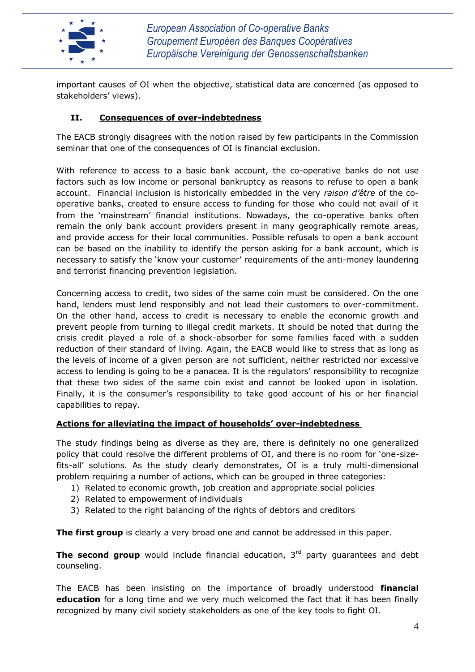

important causes of OI when the objective, statistical data are concerned (as opposed to stakeholders' views).

# **II. Consequences of over-indebtedness**

The EACB strongly disagrees with the notion raised by few participants in the Commission seminar that one of the consequences of OI is financial exclusion.

With reference to access to a basic bank account, the co-operative banks do not use factors such as low income or personal bankruptcy as reasons to refuse to open a bank account. Financial inclusion is historically embedded in the very *raison d'être* of the cooperative banks, created to ensure access to funding for those who could not avail of it from the 'mainstream' financial institutions. Nowadays, the co-operative banks often remain the only bank account providers present in many geographically remote areas, and provide access for their local communities. Possible refusals to open a bank account can be based on the inability to identify the person asking for a bank account, which is necessary to satisfy the 'know your customer' requirements of the anti-money laundering and terrorist financing prevention legislation.

Concerning access to credit, two sides of the same coin must be considered. On the one hand, lenders must lend responsibly and not lead their customers to over-commitment. On the other hand, access to credit is necessary to enable the economic growth and prevent people from turning to illegal credit markets. It should be noted that during the crisis credit played a role of a shock-absorber for some families faced with a sudden reduction of their standard of living. Again, the EACB would like to stress that as long as the levels of income of a given person are not sufficient, neither restricted nor excessive access to lending is going to be a panacea. It is the regulators' responsibility to recognize that these two sides of the same coin exist and cannot be looked upon in isolation. Finally, it is the consumer's responsibility to take good account of his or her financial capabilities to repay.

## **Actions for alleviating the impact of households' over-indebtedness**

The study findings being as diverse as they are, there is definitely no one generalized policy that could resolve the different problems of OI, and there is no room for 'one-sizefits-all' solutions. As the study clearly demonstrates, OI is a truly multi-dimensional problem requiring a number of actions, which can be grouped in three categories:

- 1) Related to economic growth, job creation and appropriate social policies
- 2) Related to empowerment of individuals
- 3) Related to the right balancing of the rights of debtors and creditors

**The first group** is clearly a very broad one and cannot be addressed in this paper.

**The second group** would include financial education, 3<sup>rd</sup> party quarantees and debt counseling.

The EACB has been insisting on the importance of broadly understood **financial education** for a long time and we very much welcomed the fact that it has been finally recognized by many civil society stakeholders as one of the key tools to fight OI.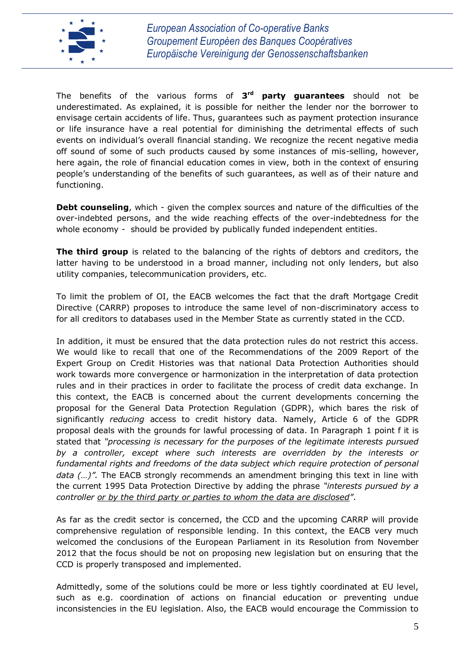

The benefits of the various forms of **3 rd party guarantees** should not be underestimated. As explained, it is possible for neither the lender nor the borrower to envisage certain accidents of life. Thus, guarantees such as payment protection insurance or life insurance have a real potential for diminishing the detrimental effects of such events on individual's overall financial standing. We recognize the recent negative media off sound of some of such products caused by some instances of mis-selling, however, here again, the role of financial education comes in view, both in the context of ensuring people's understanding of the benefits of such guarantees, as well as of their nature and functioning.

**Debt counseling**, which - given the complex sources and nature of the difficulties of the over-indebted persons, and the wide reaching effects of the over-indebtedness for the whole economy - should be provided by publically funded independent entities.

**The third group** is related to the balancing of the rights of debtors and creditors, the latter having to be understood in a broad manner, including not only lenders, but also utility companies, telecommunication providers, etc.

To limit the problem of OI, the EACB welcomes the fact that the draft Mortgage Credit Directive (CARRP) proposes to introduce the same level of non-discriminatory access to for all creditors to databases used in the Member State as currently stated in the CCD.

In addition, it must be ensured that the data protection rules do not restrict this access. We would like to recall that one of the Recommendations of the 2009 Report of the Expert Group on Credit Histories was that national Data Protection Authorities should work towards more convergence or harmonization in the interpretation of data protection rules and in their practices in order to facilitate the process of credit data exchange. In this context, the EACB is concerned about the current developments concerning the proposal for the General Data Protection Regulation (GDPR), which bares the risk of significantly *reducing* access to credit history data. Namely, Article 6 of the GDPR proposal deals with the grounds for lawful processing of data. In Paragraph 1 point f it is stated that *"processing is necessary for the purposes of the legitimate interests pursued by a controller, except where such interests are overridden by the interests or fundamental rights and freedoms of the data subject which require protection of personal data (…)".* The EACB strongly recommends an amendment bringing this text in line with the current 1995 Data Protection Directive by adding the phrase *"interests pursued by a controller or by the third party or parties to whom the data are disclosed"*.

As far as the credit sector is concerned, the CCD and the upcoming CARRP will provide comprehensive regulation of responsible lending. In this context, the EACB very much welcomed the conclusions of the European Parliament in its Resolution from November 2012 that the focus should be not on proposing new legislation but on ensuring that the CCD is properly transposed and implemented.

Admittedly, some of the solutions could be more or less tightly coordinated at EU level, such as e.g. coordination of actions on financial education or preventing undue inconsistencies in the EU legislation. Also, the EACB would encourage the Commission to